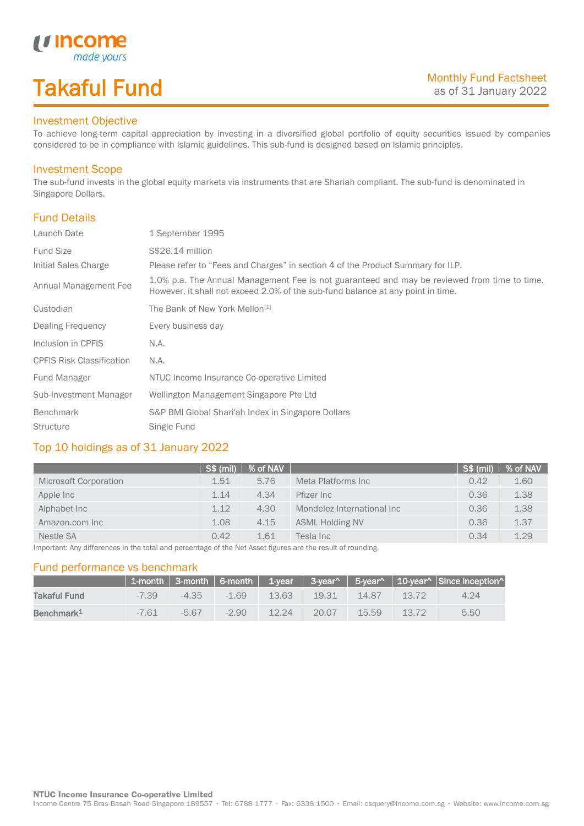# Takaful Fund

made your.

### Investment Objective

*u* Income

To achieve long-term capital appreciation by investing in a diversified global portfolio of equity securities issued by companies considered to be in compliance with Islamic guidelines. This sub-fund is designed based on Islamic principles.

### Investment Scope

The sub-fund invests in the global equity markets via instruments that are Shariah compliant. The sub-fund is denominated in Singapore Dollars.

## Fund Details

I

| Launch Date                      | 1 September 1995                                                                                                                                                                |
|----------------------------------|---------------------------------------------------------------------------------------------------------------------------------------------------------------------------------|
| <b>Fund Size</b>                 | S\$26.14 million                                                                                                                                                                |
| Initial Sales Charge             | Please refer to "Fees and Charges" in section 4 of the Product Summary for ILP.                                                                                                 |
| Annual Management Fee            | 1.0% p.a. The Annual Management Fee is not guaranteed and may be reviewed from time to time.<br>However, it shall not exceed 2.0% of the sub-fund balance at any point in time. |
| Custodian                        | The Bank of New York Mellon <sup>[1]</sup>                                                                                                                                      |
| Dealing Frequency                | Every business day                                                                                                                                                              |
| Inclusion in CPFIS               | N.A.                                                                                                                                                                            |
| <b>CPFIS Risk Classification</b> | N.A.                                                                                                                                                                            |
| Fund Manager                     | NTUC Income Insurance Co-operative Limited                                                                                                                                      |
| Sub-Investment Manager           | Wellington Management Singapore Pte Ltd                                                                                                                                         |
| Benchmark                        | S&P BMI Global Shari'ah Index in Singapore Dollars                                                                                                                              |
| <b>Structure</b>                 | Single Fund                                                                                                                                                                     |

### Top 10 holdings as of 31 January 2022

|                       | <sup>∤</sup> S\$ (mil) | % of NAV |                            | <b>S\$ (mil)</b> | % of NAV |
|-----------------------|------------------------|----------|----------------------------|------------------|----------|
| Microsoft Corporation | 1.51                   | 5.76     | Meta Platforms Inc         | 0.42             | 1.60     |
| Apple Inc             | 1.14                   | 4.34     | Pfizer Inc                 | 0.36             | 1.38     |
| Alphabet Inc          | 1.12                   | 4.30     | Mondelez International Inc | 0.36             | 1.38     |
| Amazon.com Inc        | 1.08                   | 4.15     | <b>ASML Holding NV</b>     | 0.36             | 1.37     |
| Nestle SA             | 0.42                   | 1.61     | Tesla Inc                  | 0.34             | 1.29     |

Important: Any differences in the total and percentage of the Net Asset figures are the result of rounding.

#### Fund performance vs benchmark

|                        |         |           |         |       |       |          |         | 1-month   3-month   6-month   1-year   3-year^   5-year^   10-year^   Since inception^ |
|------------------------|---------|-----------|---------|-------|-------|----------|---------|----------------------------------------------------------------------------------------|
| Takaful Fund           | $-7.39$ | $-4.35 -$ | $-169$  | 13.63 | 19.31 | $-14.87$ | - 13.72 | 4.24                                                                                   |
| Benchmark <sup>1</sup> | $-7.61$ | $-5.67$   | $-2.90$ | 12 24 | 20.07 | $-15.59$ | 13.72   | 5.50                                                                                   |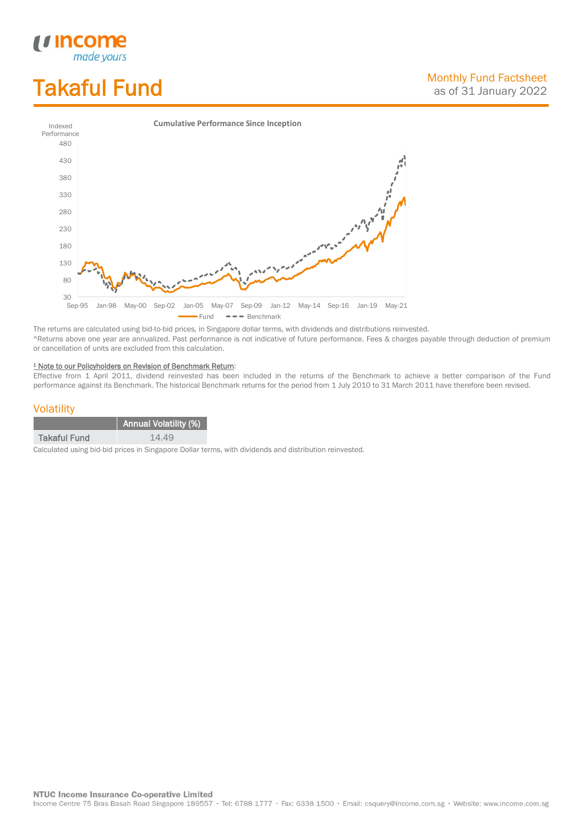# Takaful Fund

*<u>Income</u>*<br>made yours

I



The returns are calculated using bid-to-bid prices, in Singapore dollar terms, with dividends and distributions reinvested. ^Returns above one year are annualized. Past performance is not indicative of future performance. Fees & charges payable through deduction of premium or cancellation of units are excluded from this calculation.

#### <sup>1</sup> Note to our Policyholders on Revision of Benchmark Return:

Effective from 1 April 2011, dividend reinvested has been included in the returns of the Benchmark to achieve a better comparison of the Fund performance against its Benchmark. The historical Benchmark returns for the period from 1 July 2010 to 31 March 2011 have therefore been revised.

#### **Volatility**

|              | Annual Volatility (%) |
|--------------|-----------------------|
| Takaful Fund | 14.49                 |

Calculated using bid-bid prices in Singapore Dollar terms, with dividends and distribution reinvested.

**NTUC Income Insurance Co-operative Limited** 

Income Centre 75 Bras Basah Road Singapore 189557 · Tel: 6788 1777 · Fax: 6338 1500 · Email: csquery@income.com.sg · Website: www.income.com.sg